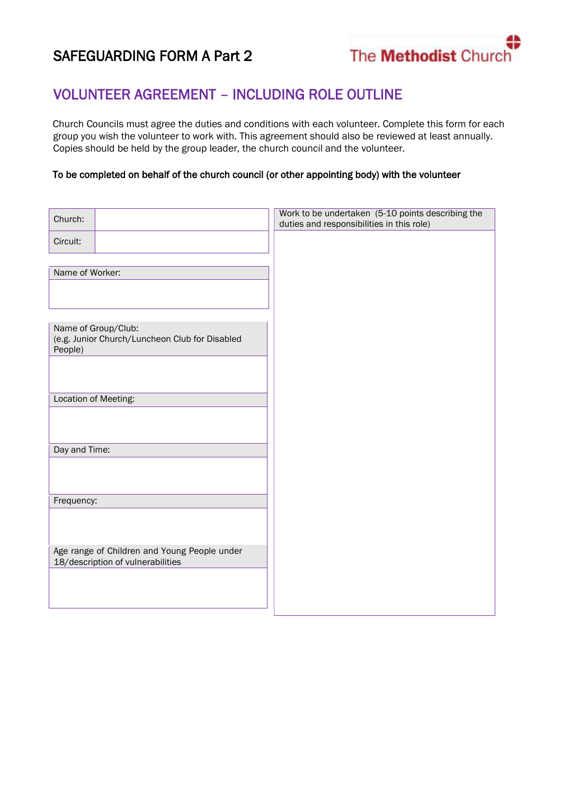## SAFEGUARDING FORM A Part 2

The **Methodist** Church

## VOLUNTEER AGREEMENT – INCLUDING ROLE OUTLINE

Church Councils must agree the duties and conditions with each volunteer. Complete this form for each group you wish the volunteer to work with. This agreement should also be reviewed at least annually. Copies should be held by the group leader, the church council and the volunteer.

## To be completed on behalf of the church council (or other appointing body) with the volunteer

| Church:                                                                           | Work to be undertaken (5-10 points describing the<br>duties and responsibilities in this role) |
|-----------------------------------------------------------------------------------|------------------------------------------------------------------------------------------------|
| Circuit:                                                                          |                                                                                                |
|                                                                                   |                                                                                                |
| Name of Worker:                                                                   |                                                                                                |
|                                                                                   |                                                                                                |
|                                                                                   |                                                                                                |
| Name of Group/Club:<br>(e.g. Junior Church/Luncheon Club for Disabled             |                                                                                                |
| People)                                                                           |                                                                                                |
|                                                                                   |                                                                                                |
|                                                                                   |                                                                                                |
| Location of Meeting:                                                              |                                                                                                |
|                                                                                   |                                                                                                |
| Day and Time:                                                                     |                                                                                                |
|                                                                                   |                                                                                                |
|                                                                                   |                                                                                                |
| Frequency:                                                                        |                                                                                                |
|                                                                                   |                                                                                                |
|                                                                                   |                                                                                                |
| Age range of Children and Young People under<br>18/description of vulnerabilities |                                                                                                |
|                                                                                   |                                                                                                |
|                                                                                   |                                                                                                |
|                                                                                   |                                                                                                |